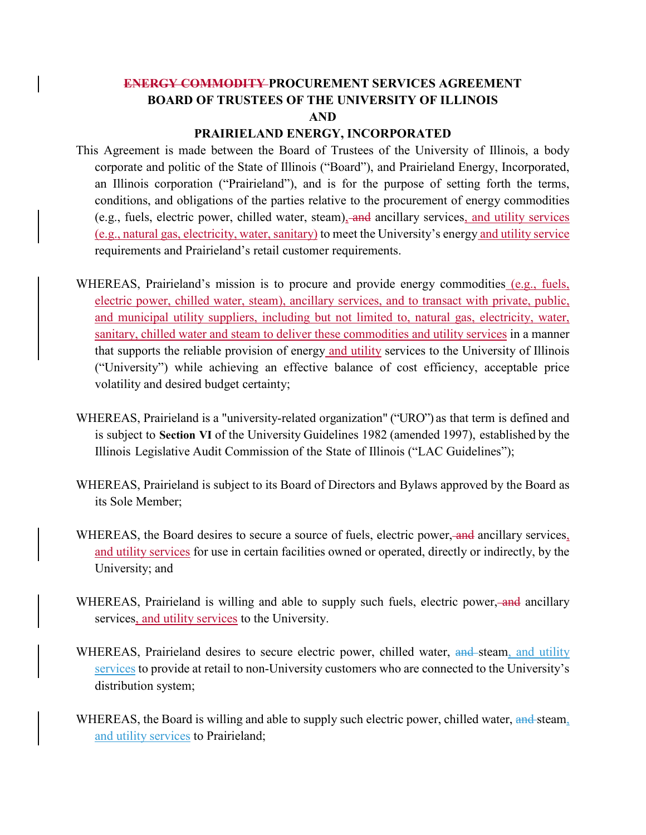# **ENERGY COMMODITY PROCUREMENT SERVICES AGREEMENT BOARD OF TRUSTEES OF THE UNIVERSITY OF ILLINOIS AND**

#### **PRAIRIELAND ENERGY, INCORPORATED**

- This Agreement is made between the Board of Trustees of the University of Illinois, a body corporate and politic of the State of Illinois ("Board"), and Prairieland Energy, Incorporated, an Illinois corporation ("Prairieland"), and is for the purpose of setting forth the terms, conditions, and obligations of the parties relative to the procurement of energy commodities (e.g., fuels, electric power, chilled water, steam), and ancillary services, and utility services (e.g., natural gas, electricity, water, sanitary) to meet the University's energy and utility service requirements and Prairieland's retail customer requirements.
- WHEREAS, Prairieland's mission is to procure and provide energy commodities (e.g., fuels, electric power, chilled water, steam), ancillary services, and to transact with private, public, and municipal utility suppliers, including but not limited to, natural gas, electricity, water, sanitary, chilled water and steam to deliver these commodities and utility services in a manner that supports the reliable provision of energy and utility services to the University of Illinois ("University") while achieving an effective balance of cost efficiency, acceptable price volatility and desired budget certainty;
- WHEREAS, Prairieland is a "university-related organization" ("URO") as that term is defined and is subject to **Section VI** of the University Guidelines 1982 (amended 1997), established by the Illinois Legislative Audit Commission of the State of Illinois ("LAC Guidelines");
- WHEREAS, Prairieland is subject to its Board of Directors and Bylaws approved by the Board as its Sole Member;
- WHEREAS, the Board desires to secure a source of fuels, electric power, and ancillary services, and utility services for use in certain facilities owned or operated, directly or indirectly, by the University; and
- WHEREAS, Prairieland is willing and able to supply such fuels, electric power, and ancillary services, and utility services to the University.
- WHEREAS, Prairieland desires to secure electric power, chilled water, and steam, and utility services to provide at retail to non-University customers who are connected to the University's distribution system;
- WHEREAS, the Board is willing and able to supply such electric power, chilled water, and steam, and utility services to Prairieland;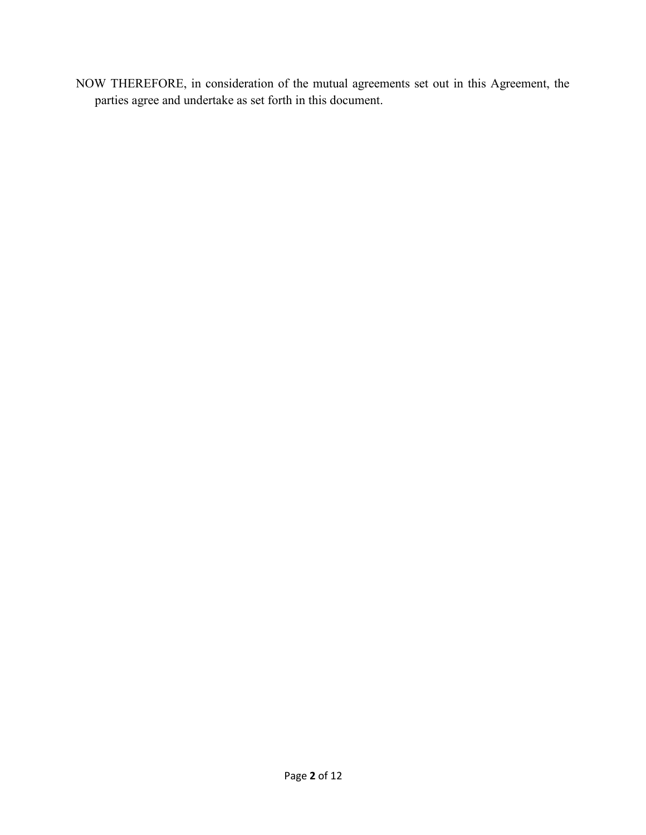NOW THEREFORE, in consideration of the mutual agreements set out in this Agreement, the parties agree and undertake as set forth in this document.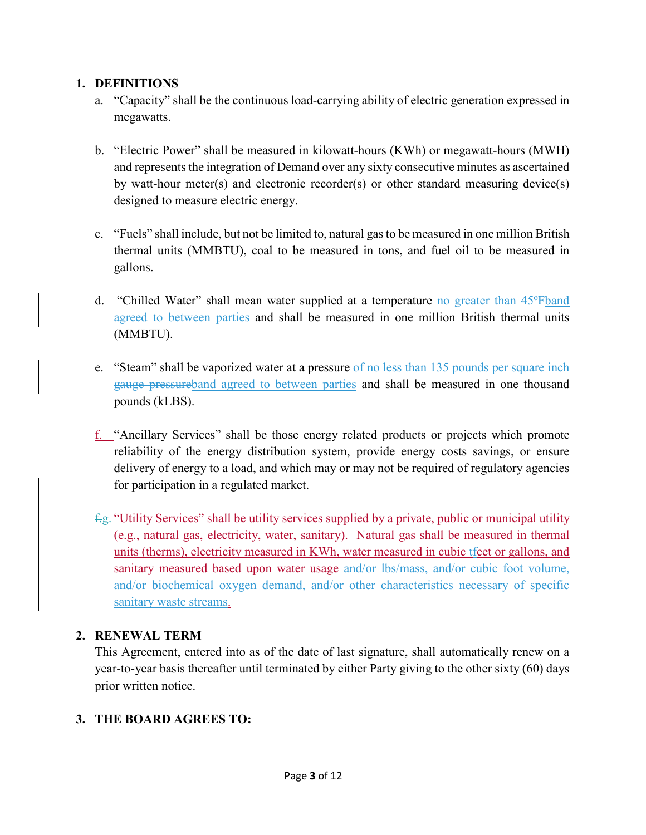#### **1. DEFINITIONS**

- a. "Capacity" shall be the continuous load-carrying ability of electric generation expressed in megawatts.
- b. "Electric Power" shall be measured in kilowatt-hours (KWh) or megawatt-hours (MWH) and represents the integration of Demand over any sixty consecutive minutes as ascertained by watt-hour meter(s) and electronic recorder(s) or other standard measuring device(s) designed to measure electric energy.
- c. "Fuels" shall include, but not be limited to, natural gasto be measured in one million British thermal units (MMBTU), coal to be measured in tons, and fuel oil to be measured in gallons.
- d. "Chilled Water" shall mean water supplied at a temperature no greater than 45°Fband agreed to between parties and shall be measured in one million British thermal units (MMBTU).
- e. "Steam" shall be vaporized water at a pressure of no less than 135 pounds per square inch gauge pressureband agreed to between parties and shall be measured in one thousand pounds (kLBS).
- $f_{\text{max}}$  "Ancillary Services" shall be those energy related products or projects which promote reliability of the energy distribution system, provide energy costs savings, or ensure delivery of energy to a load, and which may or may not be required of regulatory agencies for participation in a regulated market.
- f.g. "Utility Services" shall be utility services supplied by a private, public or municipal utility (e.g., natural gas, electricity, water, sanitary). Natural gas shall be measured in thermal units (therms), electricity measured in KWh, water measured in cubic tfeet or gallons, and sanitary measured based upon water usage and/or lbs/mass, and/or cubic foot volume, and/or biochemical oxygen demand, and/or other characteristics necessary of specific sanitary waste streams.

## **2. RENEWAL TERM**

This Agreement, entered into as of the date of last signature, shall automatically renew on a year-to-year basis thereafter until terminated by either Party giving to the other sixty (60) days prior written notice.

## **3. THE BOARD AGREES TO:**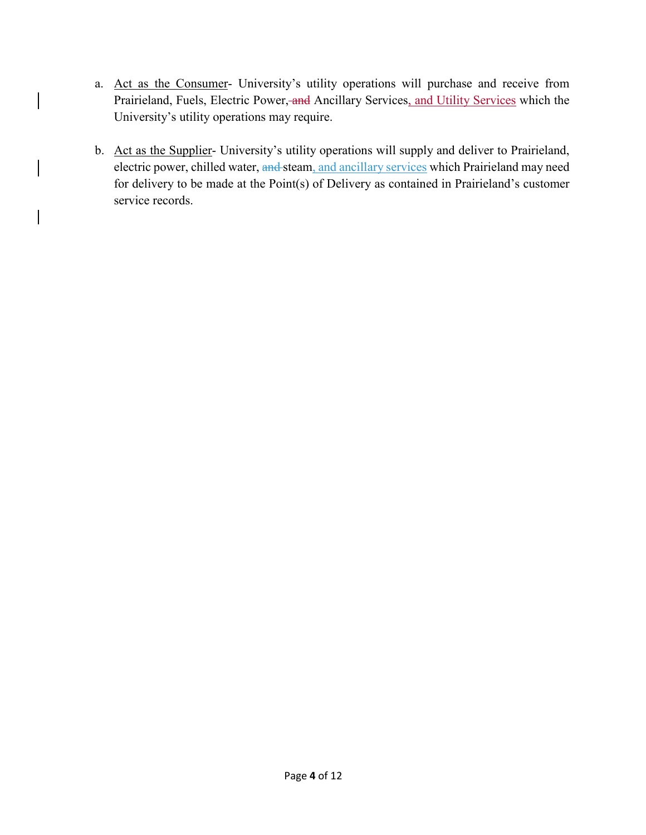- a. Act as the Consumer- University's utility operations will purchase and receive from Prairieland, Fuels, Electric Power, and Ancillary Services, and Utility Services which the University's utility operations may require.
- b. Act as the Supplier- University's utility operations will supply and deliver to Prairieland, electric power, chilled water, and steam, and ancillary services which Prairieland may need for delivery to be made at the Point(s) of Delivery as contained in Prairieland's customer service records.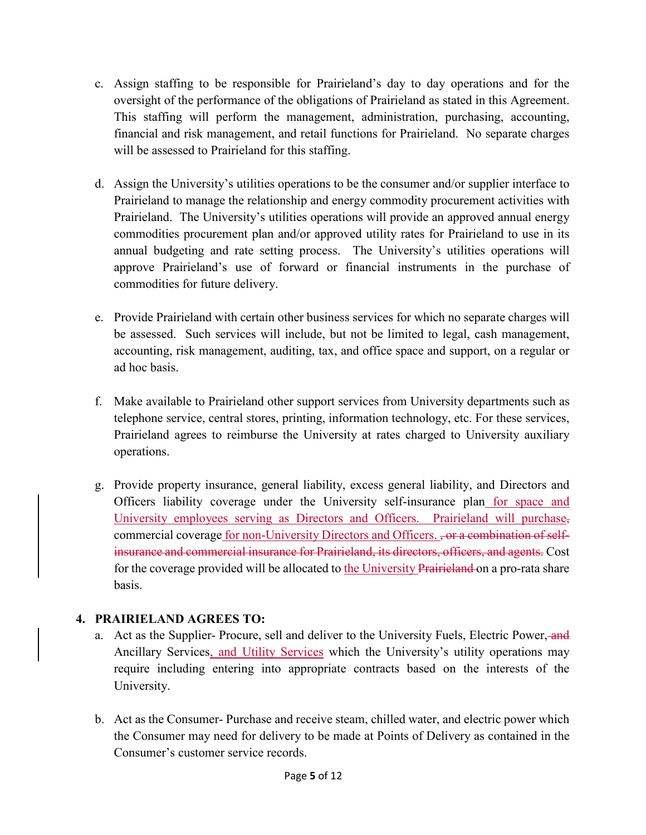- c. Assign staffing to be responsible for Prairieland's day to day operations and for the oversight of the performance of the obligations of Prairieland as stated in this Agreement. This staffing will perform the management, administration, purchasing, accounting, financial and risk management, and retail functions for Prairieland. No separate charges will be assessed to Prairieland for this staffing.
- d. Assign the University's utilities operations to be the consumer and/or supplier interface to Prairieland to manage the relationship and energy commodity procurement activities with Prairieland. The University's utilities operations will provide an approved annual energy commodities procurement plan and/or approved utility rates for Prairieland to use in its annual budgeting and rate setting process. The University's utilities operations will approve Prairieland's use of forward or financial instruments in the purchase of commodities for future delivery.
- e. Provide Prairieland with certain other business services for which no separate charges will be assessed. Such services will include, but not be limited to legal, cash management, accounting, risk management, auditing, tax, and office space and support, on a regular or ad hoc basis.
- f. Make available to Prairieland other support services from University departments such as telephone service, central stores, printing, information technology, etc. For these services, Prairieland agrees to reimburse the University at rates charged to University auxiliary operations.
- g. Provide property insurance, general liability, excess general liability, and Directors and Officers liability coverage under the University self-insurance plan for space and University employees serving as Directors and Officers. Prairieland will purchase, commercial coverage for non-University Directors and Officers. , or a combination of selfinsurance and commercial insurance for Prairieland, its directors, officers, and agents. Cost for the coverage provided will be allocated to the University Prairieland on a pro-rata share basis.

## **4. PRAIRIELAND AGREES TO:**

- a. Act as the Supplier-Procure, sell and deliver to the University Fuels, Electric Power, and Ancillary Services, and Utility Services which the University's utility operations may require including entering into appropriate contracts based on the interests of the University.
- b. Act as the Consumer- Purchase and receive steam, chilled water, and electric power which the Consumer may need for delivery to be made at Points of Delivery as contained in the Consumer's customer service records.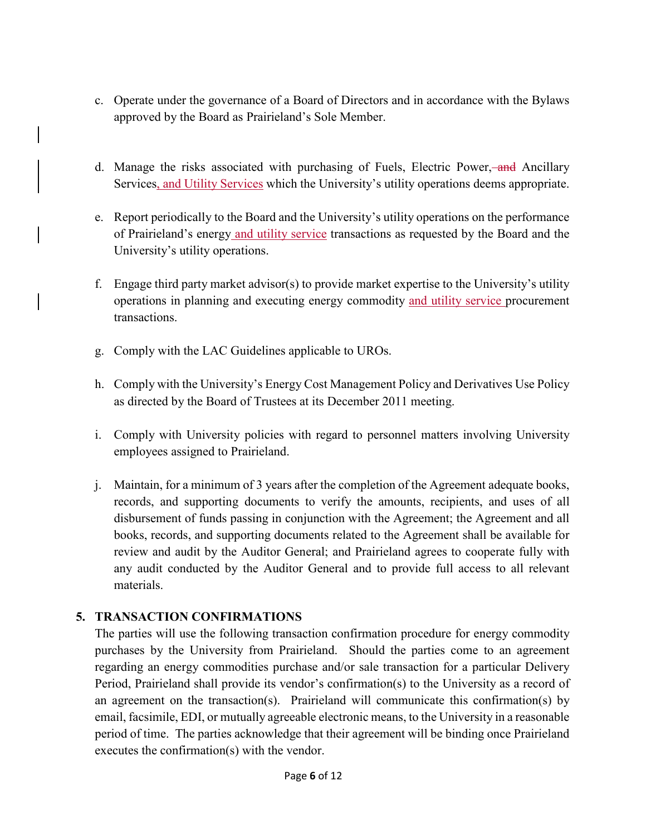- c. Operate under the governance of a Board of Directors and in accordance with the Bylaws approved by the Board as Prairieland's Sole Member.
- d. Manage the risks associated with purchasing of Fuels, Electric Power, and Ancillary Services, and Utility Services which the University's utility operations deems appropriate.
- e. Report periodically to the Board and the University's utility operations on the performance of Prairieland's energy and utility service transactions as requested by the Board and the University's utility operations.
- f. Engage third party market advisor(s) to provide market expertise to the University's utility operations in planning and executing energy commodity and utility service procurement transactions.
- g. Comply with the LAC Guidelines applicable to UROs.
- h. Comply with the University's Energy Cost Management Policy and Derivatives Use Policy as directed by the Board of Trustees at its December 2011 meeting.
- i. Comply with University policies with regard to personnel matters involving University employees assigned to Prairieland.
- j. Maintain, for a minimum of 3 years after the completion of the Agreement adequate books, records, and supporting documents to verify the amounts, recipients, and uses of all disbursement of funds passing in conjunction with the Agreement; the Agreement and all books, records, and supporting documents related to the Agreement shall be available for review and audit by the Auditor General; and Prairieland agrees to cooperate fully with any audit conducted by the Auditor General and to provide full access to all relevant materials.

## **5. TRANSACTION CONFIRMATIONS**

The parties will use the following transaction confirmation procedure for energy commodity purchases by the University from Prairieland. Should the parties come to an agreement regarding an energy commodities purchase and/or sale transaction for a particular Delivery Period, Prairieland shall provide its vendor's confirmation(s) to the University as a record of an agreement on the transaction(s). Prairieland will communicate this confirmation(s) by email, facsimile, EDI, or mutually agreeable electronic means, to the University in a reasonable period of time. The parties acknowledge that their agreement will be binding once Prairieland executes the confirmation(s) with the vendor.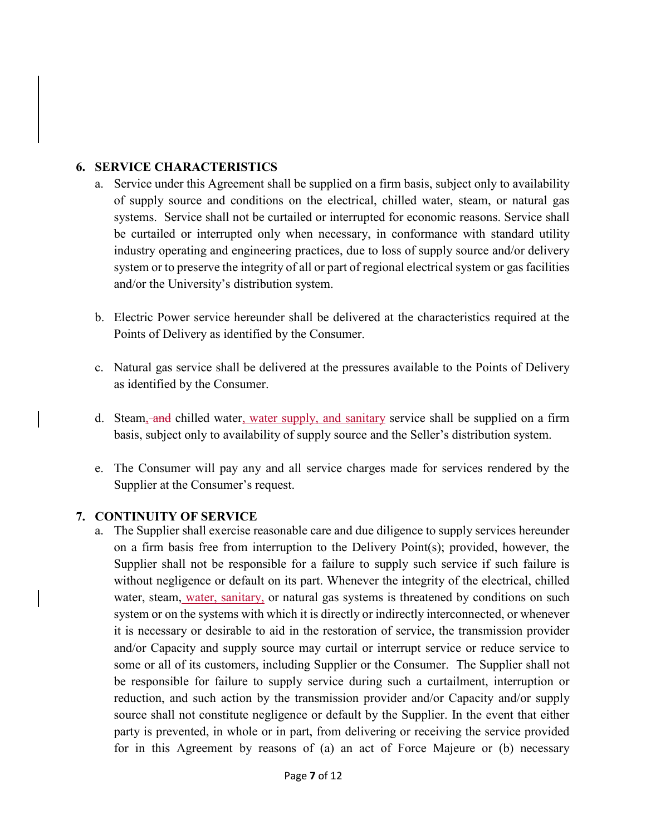### **6. SERVICE CHARACTERISTICS**

- a. Service under this Agreement shall be supplied on a firm basis, subject only to availability of supply source and conditions on the electrical, chilled water, steam, or natural gas systems. Service shall not be curtailed or interrupted for economic reasons. Service shall be curtailed or interrupted only when necessary, in conformance with standard utility industry operating and engineering practices, due to loss of supply source and/or delivery system or to preserve the integrity of all or part of regional electrical system or gas facilities and/or the University's distribution system.
- b. Electric Power service hereunder shall be delivered at the characteristics required at the Points of Delivery as identified by the Consumer.
- c. Natural gas service shall be delivered at the pressures available to the Points of Delivery as identified by the Consumer.
- d. Steam, and chilled water, water supply, and sanitary service shall be supplied on a firm basis, subject only to availability of supply source and the Seller's distribution system.
- e. The Consumer will pay any and all service charges made for services rendered by the Supplier at the Consumer's request.

#### **7. CONTINUITY OF SERVICE**

a. The Supplier shall exercise reasonable care and due diligence to supply services hereunder on a firm basis free from interruption to the Delivery Point(s); provided, however, the Supplier shall not be responsible for a failure to supply such service if such failure is without negligence or default on its part. Whenever the integrity of the electrical, chilled water, steam, water, sanitary, or natural gas systems is threatened by conditions on such system or on the systems with which it is directly or indirectly interconnected, or whenever it is necessary or desirable to aid in the restoration of service, the transmission provider and/or Capacity and supply source may curtail or interrupt service or reduce service to some or all of its customers, including Supplier or the Consumer. The Supplier shall not be responsible for failure to supply service during such a curtailment, interruption or reduction, and such action by the transmission provider and/or Capacity and/or supply source shall not constitute negligence or default by the Supplier. In the event that either party is prevented, in whole or in part, from delivering or receiving the service provided for in this Agreement by reasons of (a) an act of Force Majeure or (b) necessary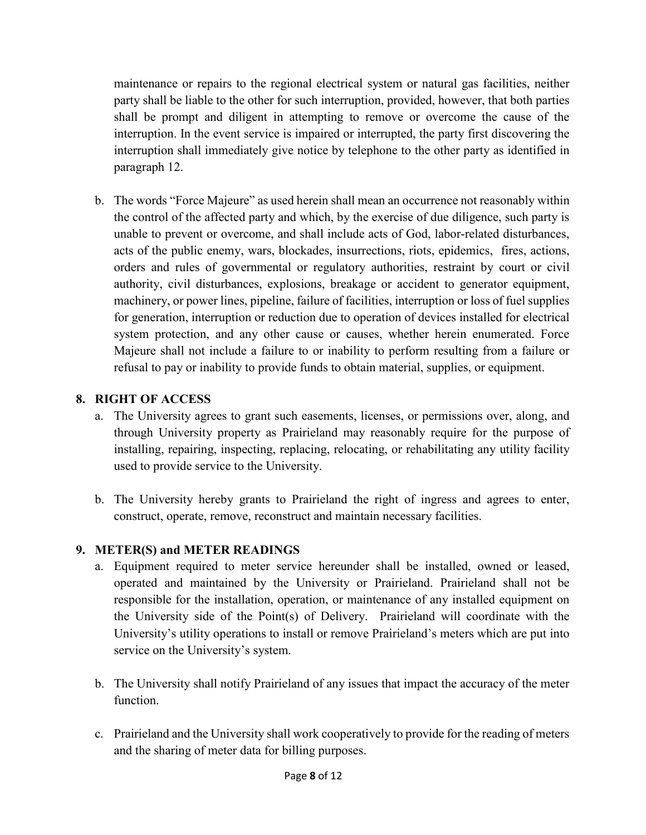maintenance or repairs to the regional electrical system or natural gas facilities, neither party shall be liable to the other for such interruption, provided, however, that both parties shall be prompt and diligent in attempting to remove or overcome the cause of the interruption. In the event service is impaired or interrupted, the party first discovering the interruption shall immediately give notice by telephone to the other party as identified in paragraph 12.

b. The words "Force Majeure" as used herein shall mean an occurrence not reasonably within the control of the affected party and which, by the exercise of due diligence, such party is unable to prevent or overcome, and shall include acts of God, labor-related disturbances, acts of the public enemy, wars, blockades, insurrections, riots, epidemics, fires, actions, orders and rules of governmental or regulatory authorities, restraint by court or civil authority, civil disturbances, explosions, breakage or accident to generator equipment, machinery, or power lines, pipeline, failure of facilities, interruption or loss of fuel supplies for generation, interruption or reduction due to operation of devices installed for electrical system protection, and any other cause or causes, whether herein enumerated. Force Majeure shall not include a failure to or inability to perform resulting from a failure or refusal to pay or inability to provide funds to obtain material, supplies, or equipment.

## **8. RIGHT OF ACCESS**

- a. The University agrees to grant such easements, licenses, or permissions over, along, and through University property as Prairieland may reasonably require for the purpose of installing, repairing, inspecting, replacing, relocating, or rehabilitating any utility facility used to provide service to the University.
- b. The University hereby grants to Prairieland the right of ingress and agrees to enter, construct, operate, remove, reconstruct and maintain necessary facilities.

## **9. METER(S) and METER READINGS**

- a. Equipment required to meter service hereunder shall be installed, owned or leased, operated and maintained by the University or Prairieland. Prairieland shall not be responsible for the installation, operation, or maintenance of any installed equipment on the University side of the Point(s) of Delivery. Prairieland will coordinate with the University's utility operations to install or remove Prairieland's meters which are put into service on the University's system.
- b. The University shall notify Prairieland of any issues that impact the accuracy of the meter function.
- c. Prairieland and the University shall work cooperatively to provide for the reading of meters and the sharing of meter data for billing purposes.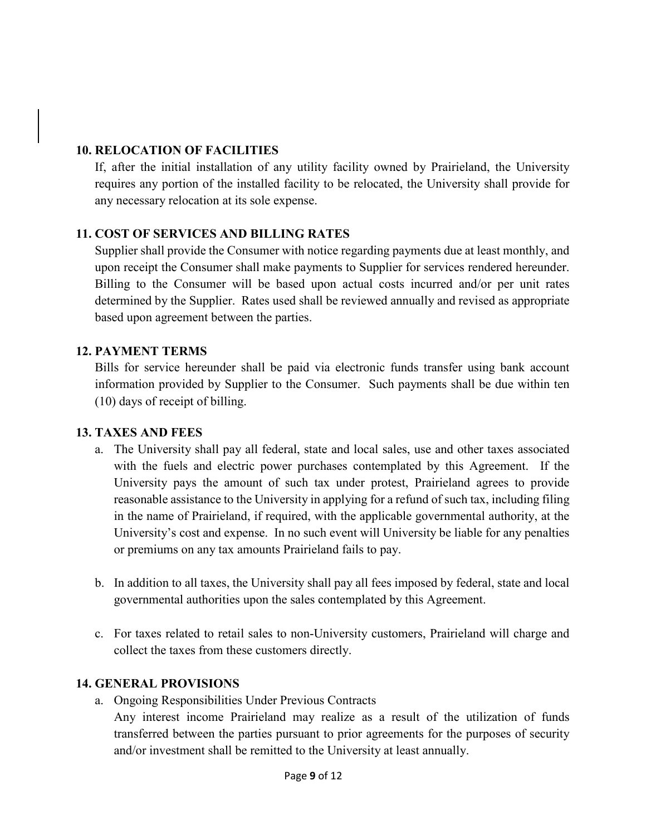### **10. RELOCATION OF FACILITIES**

If, after the initial installation of any utility facility owned by Prairieland, the University requires any portion of the installed facility to be relocated, the University shall provide for any necessary relocation at its sole expense.

### **11. COST OF SERVICES AND BILLING RATES**

Supplier shall provide the Consumer with notice regarding payments due at least monthly, and upon receipt the Consumer shall make payments to Supplier for services rendered hereunder. Billing to the Consumer will be based upon actual costs incurred and/or per unit rates determined by the Supplier. Rates used shall be reviewed annually and revised as appropriate based upon agreement between the parties.

### **12. PAYMENT TERMS**

Bills for service hereunder shall be paid via electronic funds transfer using bank account information provided by Supplier to the Consumer. Such payments shall be due within ten (10) days of receipt of billing.

## **13. TAXES AND FEES**

- a. The University shall pay all federal, state and local sales, use and other taxes associated with the fuels and electric power purchases contemplated by this Agreement. If the University pays the amount of such tax under protest, Prairieland agrees to provide reasonable assistance to the University in applying for a refund of such tax, including filing in the name of Prairieland, if required, with the applicable governmental authority, at the University's cost and expense. In no such event will University be liable for any penalties or premiums on any tax amounts Prairieland fails to pay.
- b. In addition to all taxes, the University shall pay all fees imposed by federal, state and local governmental authorities upon the sales contemplated by this Agreement.
- c. For taxes related to retail sales to non-University customers, Prairieland will charge and collect the taxes from these customers directly.

## **14. GENERAL PROVISIONS**

a. Ongoing Responsibilities Under Previous Contracts

Any interest income Prairieland may realize as a result of the utilization of funds transferred between the parties pursuant to prior agreements for the purposes of security and/or investment shall be remitted to the University at least annually.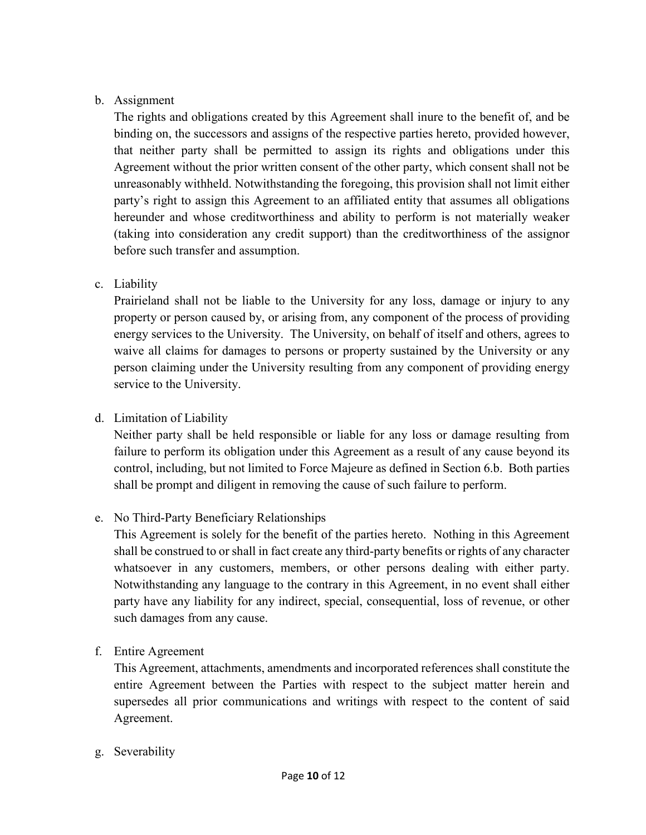## b. Assignment

The rights and obligations created by this Agreement shall inure to the benefit of, and be binding on, the successors and assigns of the respective parties hereto, provided however, that neither party shall be permitted to assign its rights and obligations under this Agreement without the prior written consent of the other party, which consent shall not be unreasonably withheld. Notwithstanding the foregoing, this provision shall not limit either party's right to assign this Agreement to an affiliated entity that assumes all obligations hereunder and whose creditworthiness and ability to perform is not materially weaker (taking into consideration any credit support) than the creditworthiness of the assignor before such transfer and assumption.

### c. Liability

Prairieland shall not be liable to the University for any loss, damage or injury to any property or person caused by, or arising from, any component of the process of providing energy services to the University. The University, on behalf of itself and others, agrees to waive all claims for damages to persons or property sustained by the University or any person claiming under the University resulting from any component of providing energy service to the University.

## d. Limitation of Liability

Neither party shall be held responsible or liable for any loss or damage resulting from failure to perform its obligation under this Agreement as a result of any cause beyond its control, including, but not limited to Force Majeure as defined in Section 6.b. Both parties shall be prompt and diligent in removing the cause of such failure to perform.

#### e. No Third-Party Beneficiary Relationships

This Agreement is solely for the benefit of the parties hereto. Nothing in this Agreement shall be construed to or shall in fact create any third-party benefits or rights of any character whatsoever in any customers, members, or other persons dealing with either party. Notwithstanding any language to the contrary in this Agreement, in no event shall either party have any liability for any indirect, special, consequential, loss of revenue, or other such damages from any cause.

#### f. Entire Agreement

This Agreement, attachments, amendments and incorporated references shall constitute the entire Agreement between the Parties with respect to the subject matter herein and supersedes all prior communications and writings with respect to the content of said Agreement.

#### g. Severability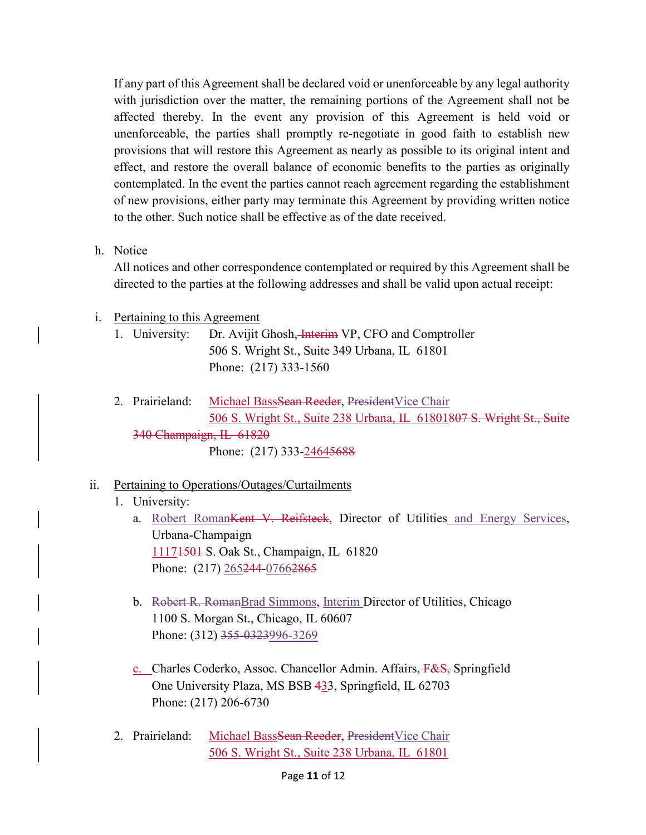If any part of this Agreement shall be declared void or unenforceable by any legal authority with jurisdiction over the matter, the remaining portions of the Agreement shall not be affected thereby. In the event any provision of this Agreement is held void or unenforceable, the parties shall promptly re-negotiate in good faith to establish new provisions that will restore this Agreement as nearly as possible to its original intent and effect, and restore the overall balance of economic benefits to the parties as originally contemplated. In the event the parties cannot reach agreement regarding the establishment of new provisions, either party may terminate this Agreement by providing written notice to the other. Such notice shall be effective as of the date received.

#### h. Notice

All notices and other correspondence contemplated or required by this Agreement shall be directed to the parties at the following addresses and shall be valid upon actual receipt:

#### i. Pertaining to this Agreement

- 1. University: Dr. Avijit Ghosh, Interim VP, CFO and Comptroller 506 S. Wright St., Suite 349 Urbana, IL 61801 Phone: (217) 333-1560
- 2. Prairieland: Michael BassSean Reeder, PresidentVice Chair 506 S. Wright St., Suite 238 Urbana, IL 61801807 S. Wright St., Suite 340 Champaign, IL 61820 Phone: (217) 333-24645688

## ii. Pertaining to Operations/Outages/Curtailments

#### 1. University:

- a. Robert RomanKent V. Reifsteck, Director of Utilities and Energy Services, Urbana-Champaign 11171501 S. Oak St., Champaign, IL 61820 Phone: (217) 265244-07662865
- b. Robert R. Roman Brad Simmons, Interim Director of Utilities, Chicago 1100 S. Morgan St., Chicago, IL 60607 Phone: (312) 355-0323996-3269
- c. Charles Coderko, Assoc. Chancellor Admin. Affairs, F&S, Springfield One University Plaza, MS BSB 433, Springfield, IL 62703 Phone: (217) 206-6730
- 2. Prairieland: Michael BassSean Reeder, PresidentVice Chair 506 S. Wright St., Suite 238 Urbana, IL 61801